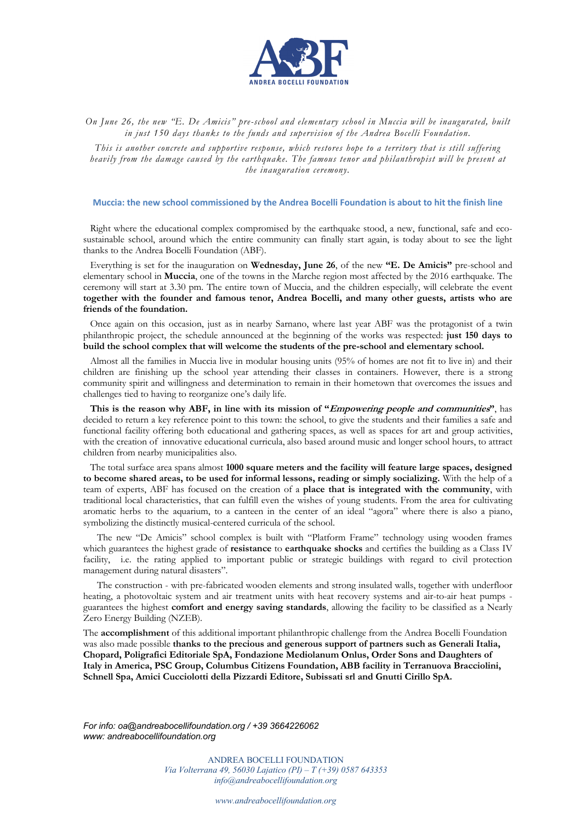

*On June 26, the new "E. De Amicis" pre-school and elementary school in Muccia will be inaugurated, built in just 150 days thanks to the funds and supervision of the Andrea Bocelli Foundation.* 

*This is another concrete and supportive response, which restores hope to a territory that is still suffering heavily from the damage caused by the earthquake. The famous tenor and philanthropist will be present at the inauguration ceremony.*

## **Muccia: the new school commissioned by the Andrea Bocelli Foundation is about to hit the finish line**

Right where the educational complex compromised by the earthquake stood, a new, functional, safe and ecosustainable school, around which the entire community can finally start again, is today about to see the light thanks to the Andrea Bocelli Foundation (ABF).

Everything is set for the inauguration on **Wednesday, June 26**, of the new **"E. De Amicis"** pre-school and elementary school in **Muccia**, one of the towns in the Marche region most affected by the 2016 earthquake. The ceremony will start at 3.30 pm. The entire town of Muccia, and the children especially, will celebrate the event **together with the founder and famous tenor, Andrea Bocelli, and many other guests, artists who are friends of the foundation.**

Once again on this occasion, just as in nearby Sarnano, where last year ABF was the protagonist of a twin philanthropic project, the schedule announced at the beginning of the works was respected: **just 150 days to build the school complex that will welcome the students of the pre-school and elementary school.** 

Almost all the families in Muccia live in modular housing units (95% of homes are not fit to live in) and their children are finishing up the school year attending their classes in containers. However, there is a strong community spirit and willingness and determination to remain in their hometown that overcomes the issues and challenges tied to having to reorganize one's daily life.

**This is the reason why ABF, in line with its mission of "Empowering people and communities"**, has decided to return a key reference point to this town: the school, to give the students and their families a safe and functional facility offering both educational and gathering spaces, as well as spaces for art and group activities, with the creation of innovative educational curricula, also based around music and longer school hours, to attract children from nearby municipalities also.

The total surface area spans almost **1000 square meters and the facility will feature large spaces, designed to become shared areas, to be used for informal lessons, reading or simply socializing.** With the help of a team of experts, ABF has focused on the creation of a **place that is integrated with the community**, with traditional local characteristics, that can fulfill even the wishes of young students. From the area for cultivating aromatic herbs to the aquarium, to a canteen in the center of an ideal "agora" where there is also a piano, symbolizing the distinctly musical-centered curricula of the school.

The new "De Amicis" school complex is built with "Platform Frame" technology using wooden frames which guarantees the highest grade of **resistance** to **earthquake shocks** and certifies the building as a Class IV facility, i.e. the rating applied to important public or strategic buildings with regard to civil protection management during natural disasters".

The construction - with pre-fabricated wooden elements and strong insulated walls, together with underfloor heating, a photovoltaic system and air treatment units with heat recovery systems and air-to-air heat pumps guarantees the highest **comfort and energy saving standards**, allowing the facility to be classified as a Nearly Zero Energy Building (NZEB).

The **accomplishment** of this additional important philanthropic challenge from the Andrea Bocelli Foundation was also made possible **thanks to the precious and generous support of partners such as Generali Italia, Chopard, Poligrafici Editoriale SpA, Fondazione Mediolanum Onlus, Order Sons and Daughters of Italy in America, PSC Group, Columbus Citizens Foundation, ABB facility in Terranuova Bracciolini, Schnell Spa, Amici Cucciolotti della Pizzardi Editore, Subissati srl and Gnutti Cirillo SpA.**

*For info: oa@andreabocellifoundation.org / +39 3664226062 www: andreabocellifoundation.org*

> ANDREA BOCELLI FOUNDATION *Via Volterrana 49, 56030 Lajatico (PI) – T (+39) 0587 643353 info@andreabocellifoundation.org*